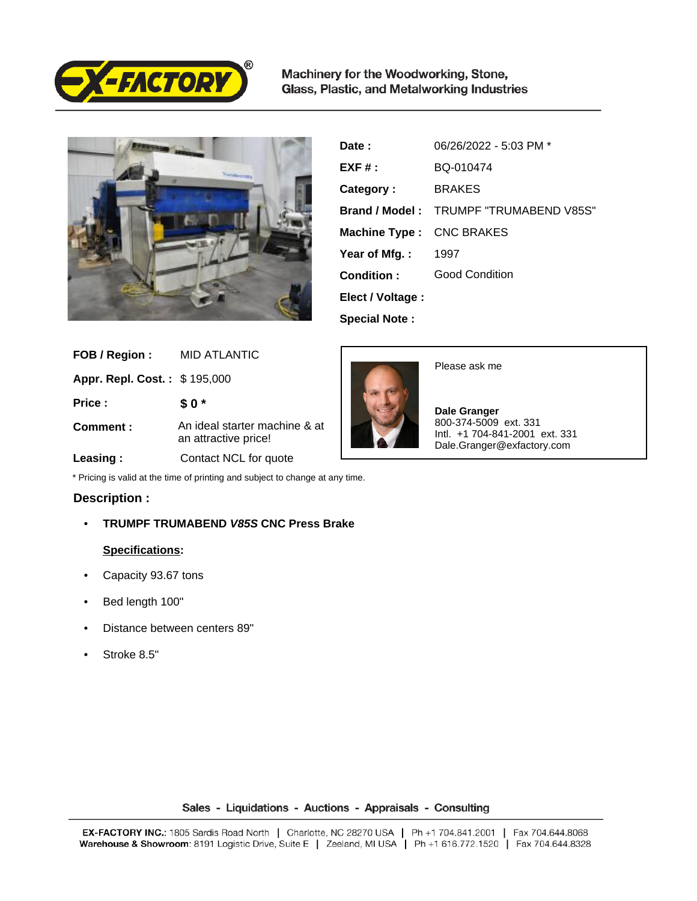

Machinery for the Woodworking, Stone, Glass, Plastic, and Metalworking Industries



| Date:                    | 06/26/2022 - 5:03 PM *                        |
|--------------------------|-----------------------------------------------|
| $EXF#$ :                 | BQ-010474                                     |
| Category:                | <b>BRAKES</b>                                 |
|                          | <b>Brand / Model: TRUMPF "TRUMABEND V85S"</b> |
| Machine Type: CNC BRAKES |                                               |
| Year of Mfg.:            | 1997                                          |
| Condition:               | <b>Good Condition</b>                         |
| Elect / Voltage :        |                                               |
| <b>Special Note:</b>     |                                               |

| FOB / Region :                      | <b>MID ATLANTIC</b>                                   | Please ask me                                                                         |
|-------------------------------------|-------------------------------------------------------|---------------------------------------------------------------------------------------|
| <b>Appr. Repl. Cost.: \$195,000</b> |                                                       |                                                                                       |
| Price:                              | \$0*                                                  | Dale Granger                                                                          |
| Comment:                            | An ideal starter machine & at<br>an attractive price! | 800-374-5009 ext. 331<br>lntl. +1 704-841-2001 ext. 331<br>Dale.Granger@exfactory.com |
| Leasing:                            | Contact NCL for quote                                 |                                                                                       |

\* Pricing is valid at the time of printing and subject to change at any time.

## **Description :**

• **TRUMPF TRUMABEND V85S CNC Press Brake**

## **Specifications:**

- Capacity 93.67 tons
- Bed length 100"
- Distance between centers 89"
- Stroke 8.5"

Sales - Liquidations - Auctions - Appraisals - Consulting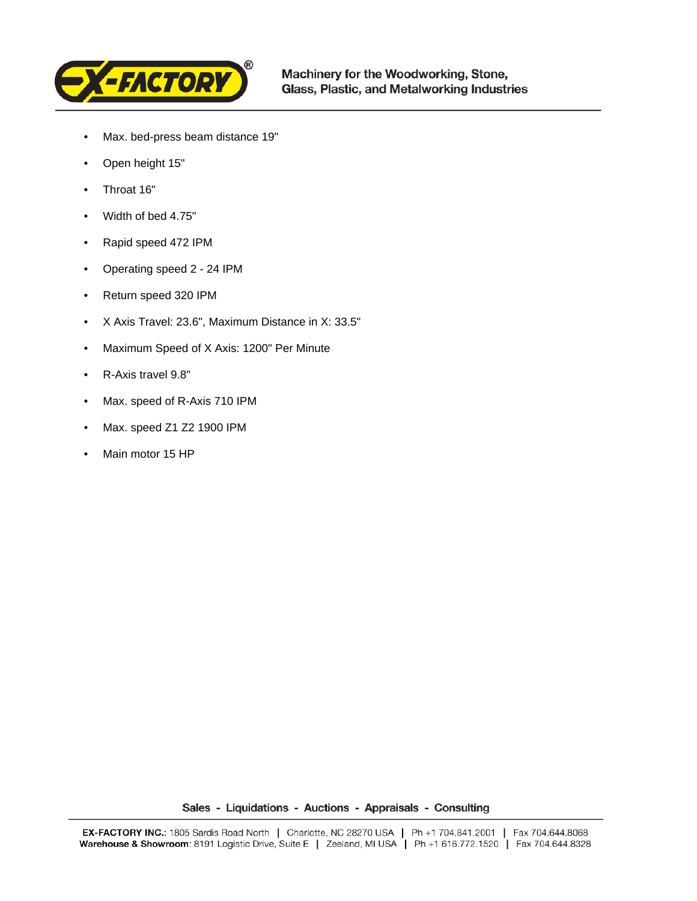

- Max. bed-press beam distance 19"
- Open height 15"
- Throat 16"
- Width of bed 4.75"
- Rapid speed 472 IPM
- Operating speed 2 24 IPM
- Return speed 320 IPM
- X Axis Travel: 23.6", Maximum Distance in X: 33.5"
- Maximum Speed of X Axis: 1200" Per Minute
- R-Axis travel 9.8"
- Max. speed of R-Axis 710 IPM
- Max. speed Z1 Z2 1900 IPM
- Main motor 15 HP

Sales - Liquidations - Auctions - Appraisals - Consulting